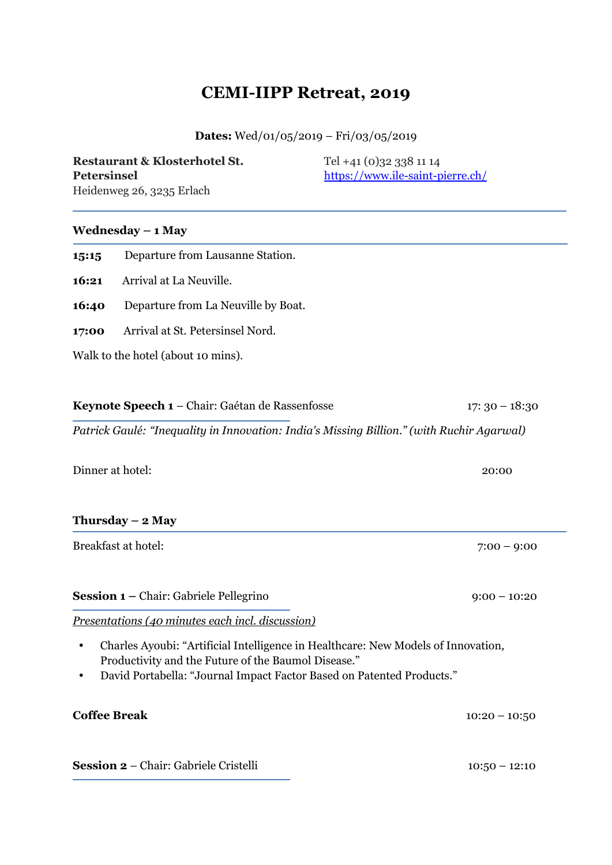# **CEMI-IIPP Retreat, 2019**

## **Dates:** Wed/01/05/2019 – Fri/03/05/2019

| Restaurant & Klosterhotel St. | Tel +41 (0)32 338 11 14          |
|-------------------------------|----------------------------------|
| Petersinsel                   | https://www.ile-saint-pierre.ch/ |
| Heidenweg 26, 3235 Erlach     |                                  |

#### **Wednesday – 1 May**

| 1,5:1,5 | Departure from Lausanne Station.    |
|---------|-------------------------------------|
| 16:21   | Arrival at La Neuville.             |
| 16:40   | Departure from La Neuville by Boat. |
| 17:00   | Arrival at St. Petersinsel Nord.    |
|         | Walk to the hotel (about 10 mins).  |
|         |                                     |

| $17:30 - 18:30$ |
|-----------------|
|                 |

*Patrick Gaulé: "Inequality in Innovation: India's Missing Billion." (with Ruchir Agarwal)*

Dinner at hotel: 20:00

#### **Thursday – 2 May**

Breakfast at hotel: 7:00 – 9:00

**Session 1** – Chair: Gabriele Pellegrino 9:00 – 10:20

*Presentations (40 minutes each incl. discussion)*

- Charles Ayoubi: "Artificial Intelligence in Healthcare: New Models of Innovation, Productivity and the Future of the Baumol Disease."
- David Portabella: "Journal Impact Factor Based on Patented Products."

| <b>Coffee Break</b>                          | $10:20 - 10:50$ |
|----------------------------------------------|-----------------|
|                                              |                 |
| <b>Session 2 –</b> Chair: Gabriele Cristelli | $10:50 - 12:10$ |